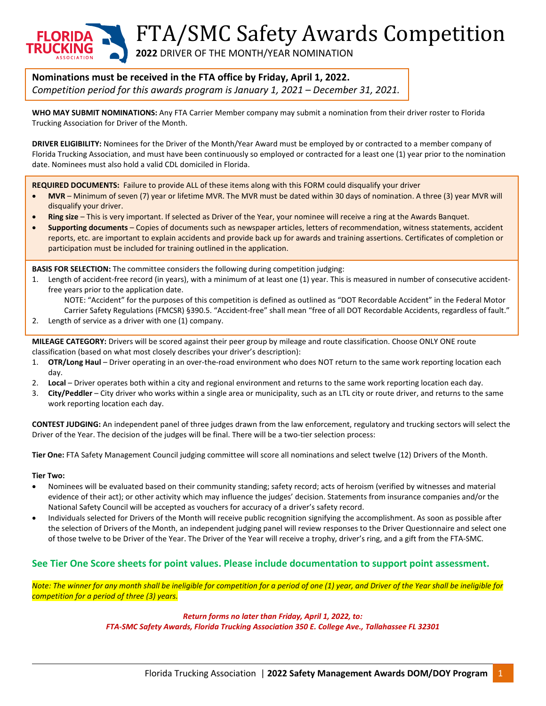FTA/SMC Safety Awards Competition

**2022** DRIVER OF THE MONTH/YEAR NOMINATION

# **Nominations must be received in the FTA office by Friday, April 1, 2022.**

*Competition period for this awards program is January 1, 2021 – December 31, 2021.*

**WHO MAY SUBMIT NOMINATIONS:** Any FTA Carrier Member company may submit a nomination from their driver roster to Florida Trucking Association for Driver of the Month.

**DRIVER ELIGIBILITY:** Nominees for the Driver of the Month/Year Award must be employed by or contracted to a member company of Florida Trucking Association, and must have been continuously so employed or contracted for a least one (1) year prior to the nomination date. Nominees must also hold a valid CDL domiciled in Florida.

**REQUIRED DOCUMENTS:** Failure to provide ALL of these items along with this FORM could disqualify your driver

- **MVR** Minimum of seven (7) year or lifetime MVR. The MVR must be dated within 30 days of nomination. A three (3) year MVR will disqualify your driver.
- **Ring size** This is very important. If selected as Driver of the Year, your nominee will receive a ring at the Awards Banquet.
- **Supporting documents** Copies of documents such as newspaper articles, letters of recommendation, witness statements, accident reports, etc. are important to explain accidents and provide back up for awards and training assertions. Certificates of completion or participation must be included for training outlined in the application.

**BASIS FOR SELECTION:** The committee considers the following during competition judging:

1. Length of accident-free record (in years), with a minimum of at least one (1) year. This is measured in number of consecutive accidentfree years prior to the application date.

NOTE: "Accident" for the purposes of this competition is defined as outlined as "DOT Recordable Accident" in the Federal Motor Carrier Safety Regulations (FMCSR) §390.5. "Accident-free" shall mean "free of all DOT Recordable Accidents, regardless of fault."

2. Length of service as a driver with one (1) company.

**MILEAGE CATEGORY:** Drivers will be scored against their peer group by mileage and route classification. Choose ONLY ONE route classification (based on what most closely describes your driver's description):

- 1. **OTR/Long Haul**  Driver operating in an over-the-road environment who does NOT return to the same work reporting location each day.
- 2. **Local** Driver operates both within a city and regional environment and returns to the same work reporting location each day.
- 3. **City/Peddler**  City driver who works within a single area or municipality, such as an LTL city or route driver, and returns to the same work reporting location each day.

**CONTEST JUDGING:** An independent panel of three judges drawn from the law enforcement, regulatory and trucking sectors will select the Driver of the Year. The decision of the judges will be final. There will be a two-tier selection process:

**Tier One:** FTA Safety Management Council judging committee will score all nominations and select twelve (12) Drivers of the Month.

#### **Tier Two:**

- Nominees will be evaluated based on their community standing; safety record; acts of heroism (verified by witnesses and material evidence of their act); or other activity which may influence the judges' decision. Statements from insurance companies and/or the National Safety Council will be accepted as vouchers for accuracy of a driver's safety record.
- Individuals selected for Drivers of the Month will receive public recognition signifying the accomplishment. As soon as possible after the selection of Drivers of the Month, an independent judging panel will review responses to the Driver Questionnaire and select one of those twelve to be Driver of the Year. The Driver of the Year will receive a trophy, driver's ring, and a gift from the FTA-SMC.

## **See Tier One Score sheets for point values. Please include documentation to support point assessment.**

*Note: The winner for any month shall be ineligible for competition for a period of one (1) year, and Driver of the Year shall be ineligible for competition for a period of three (3) years.*

*Return forms no later than Friday, April 1, 2022, to:*

*FTA-SMC Safety Awards, Florida Trucking Association 350 E. College Ave., Tallahassee FL 32301*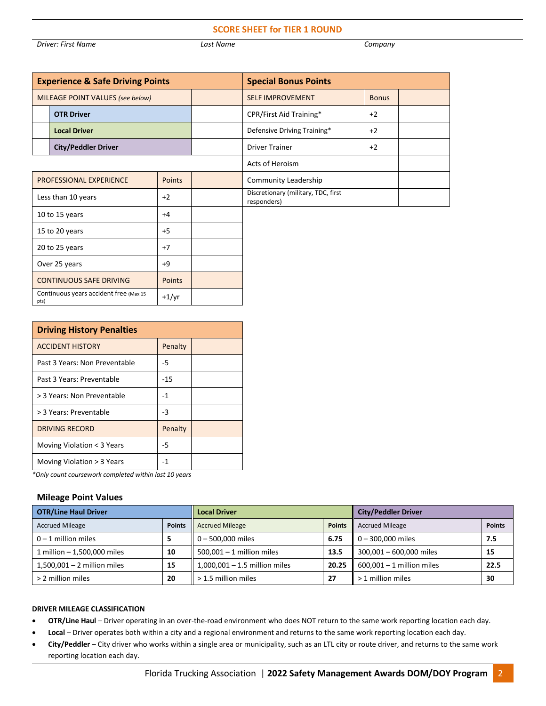#### **SCORE SHEET for TIER 1 ROUND**

*Driver: First Name Last Name Company*

| <b>Experience &amp; Safe Driving Points</b>               |                            |  | <b>Special Bonus Points</b>                        |                             |              |  |
|-----------------------------------------------------------|----------------------------|--|----------------------------------------------------|-----------------------------|--------------|--|
| MILEAGE POINT VALUES (see below)                          |                            |  |                                                    | <b>SELF IMPROVEMENT</b>     | <b>Bonus</b> |  |
|                                                           | <b>OTR Driver</b>          |  |                                                    | CPR/First Aid Training*     | $+2$         |  |
|                                                           | <b>Local Driver</b>        |  |                                                    | Defensive Driving Training* | $+2$         |  |
|                                                           | <b>City/Peddler Driver</b> |  |                                                    | <b>Driver Trainer</b>       | $+2$         |  |
|                                                           |                            |  | Acts of Heroism                                    |                             |              |  |
| Points<br>PROFESSIONAL EXPERIENCE                         |                            |  | Community Leadership                               |                             |              |  |
| Less than 10 years<br>$+2$                                |                            |  | Discretionary (military, TDC, first<br>responders) |                             |              |  |
| 10 to 15 years<br>$+4$                                    |                            |  |                                                    |                             |              |  |
| $+5$<br>15 to 20 years                                    |                            |  |                                                    |                             |              |  |
| 20 to 25 years<br>$+7$                                    |                            |  |                                                    |                             |              |  |
| Over 25 years<br>$+9$                                     |                            |  |                                                    |                             |              |  |
| <b>CONTINUOUS SAFE DRIVING</b><br>Points                  |                            |  |                                                    |                             |              |  |
| Continuous years accident free (Max 15<br>$+1/yr$<br>pts) |                            |  |                                                    |                             |              |  |

| <b>Driving History Penalties</b> |         |  |  |  |
|----------------------------------|---------|--|--|--|
| <b>ACCIDENT HISTORY</b>          | Penalty |  |  |  |
| Past 3 Years: Non Preventable    | -5      |  |  |  |
| Past 3 Years: Preventable        | $-15$   |  |  |  |
| > 3 Years: Non Preventable       | $-1$    |  |  |  |
| > 3 Years: Preventable           | -3      |  |  |  |
| DRIVING RECORD                   | Penalty |  |  |  |
| Moving Violation < 3 Years       | -5      |  |  |  |
| Moving Violation > 3 Years       | -1      |  |  |  |

*\*Only count coursework completed within last 10 years*

#### **Mileage Point Values**

| <b>OTR/Line Haul Driver</b>   |               | <b>Local Driver</b>             |               | <b>City/Peddler Driver</b>  |               |
|-------------------------------|---------------|---------------------------------|---------------|-----------------------------|---------------|
| <b>Accrued Mileage</b>        | <b>Points</b> | <b>Accrued Mileage</b>          | <b>Points</b> | <b>Accrued Mileage</b>      | <b>Points</b> |
| $0 - 1$ million miles         |               | 0-500,000 miles                 | 6.75          | $0 - 300,000$ miles         | 7.5           |
| 1 million - 1,500,000 miles   | 10            | $500,001 - 1$ million miles     | 13.5          | 300,001 - 600,000 miles     | 15            |
| $1,500,001 - 2$ million miles | 15            | $1,000,001 - 1.5$ million miles | 20.25         | $600,001 - 1$ million miles | 22.5          |
| > 2 million miles             | 20            | > 1.5 million miles             | 27            | > 1 million miles           | 30            |

#### **DRIVER MILEAGE CLASSIFICATION**

- **OTR/Line Haul** Driver operating in an over-the-road environment who does NOT return to the same work reporting location each day.
- **Local**  Driver operates both within a city and a regional environment and returns to the same work reporting location each day.
- **City/Peddler**  City driver who works within a single area or municipality, such as an LTL city or route driver, and returns to the same work reporting location each day.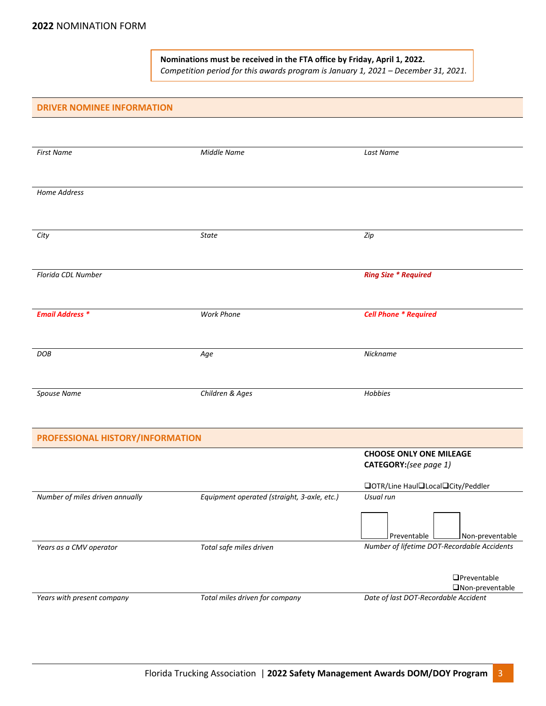**Nominations must be received in the FTA office by Friday, April 1, 2022.** *Competition period for this awards program is January 1, 2021 – December 31, 2021.*

#### **DRIVER NOMINEE INFORMATION**

| <b>First Name</b>                | <b>Middle Name</b>                          | Last Name                                      |
|----------------------------------|---------------------------------------------|------------------------------------------------|
|                                  |                                             |                                                |
| Home Address                     |                                             |                                                |
|                                  |                                             |                                                |
| City                             | State                                       | Zip                                            |
|                                  |                                             |                                                |
| Florida CDL Number               |                                             | <b>Ring Size * Required</b>                    |
|                                  |                                             |                                                |
| <b>Email Address *</b>           | <b>Work Phone</b>                           | <b>Cell Phone * Required</b>                   |
|                                  |                                             |                                                |
| <b>DOB</b>                       | Age                                         | Nickname                                       |
|                                  |                                             |                                                |
| Spouse Name                      | Children & Ages                             | Hobbies                                        |
|                                  |                                             |                                                |
| PROFESSIONAL HISTORY/INFORMATION |                                             |                                                |
|                                  |                                             | <b>CHOOSE ONLY ONE MILEAGE</b>                 |
|                                  |                                             | CATEGORY:(see page 1)                          |
|                                  |                                             | □OTR/Line Haul□Local□City/Peddler              |
| Number of miles driven annually  | Equipment operated (straight, 3-axle, etc.) | Usual run                                      |
|                                  |                                             |                                                |
|                                  |                                             | $J$ Preventable $\mathsf I$<br>Non-preventable |
| Years as a CMV operator          | Total safe miles driven                     | Number of lifetime DOT-Recordable Accidents    |
|                                  |                                             |                                                |
|                                  |                                             | $\Box$ Preventable                             |
|                                  |                                             | □Non-preventable                               |
| Years with present company       | Total miles driven for company              | Date of last DOT-Recordable Accident           |
|                                  |                                             |                                                |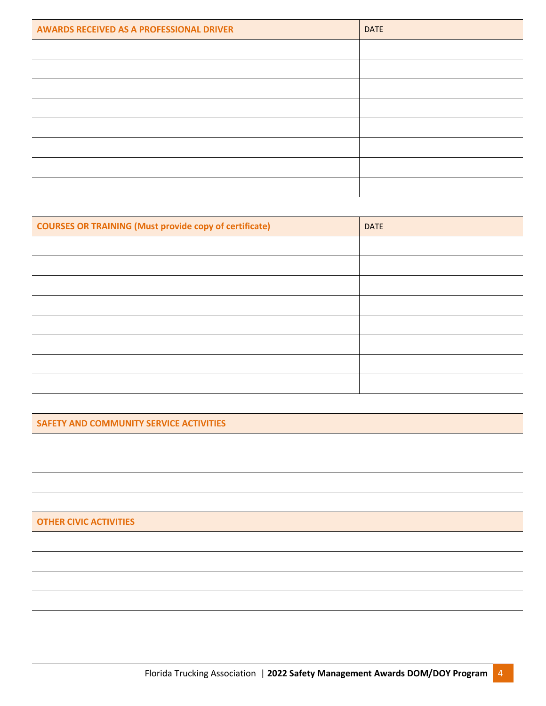| <b>AWARDS RECEIVED AS A PROFESSIONAL DRIVER</b> | <b>DATE</b> |
|-------------------------------------------------|-------------|
|                                                 |             |
|                                                 |             |
|                                                 |             |
|                                                 |             |
|                                                 |             |
|                                                 |             |
|                                                 |             |
|                                                 |             |

| <b>COURSES OR TRAINING (Must provide copy of certificate)</b> | <b>DATE</b> |
|---------------------------------------------------------------|-------------|
|                                                               |             |
|                                                               |             |
|                                                               |             |
|                                                               |             |
|                                                               |             |
|                                                               |             |
|                                                               |             |
|                                                               |             |

**SAFETY AND COMMUNITY SERVICE ACTIVITIES**

**OTHER CIVIC ACTIVITIES**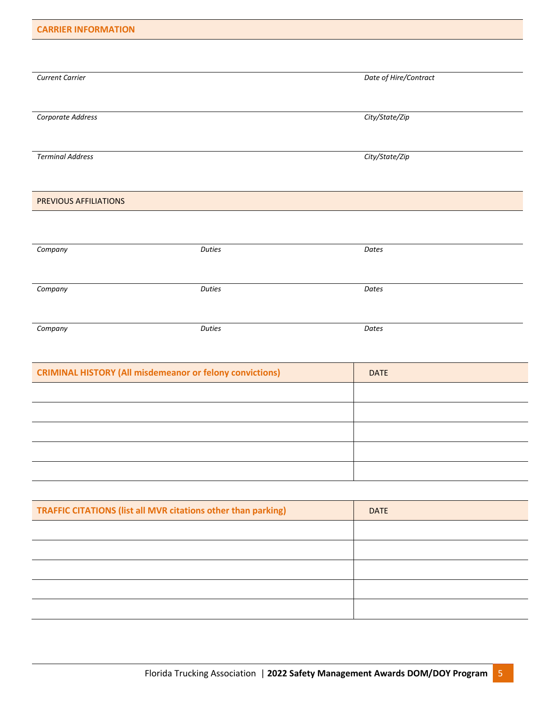| <b>CARRIER INFORMATION</b> |               |                       |
|----------------------------|---------------|-----------------------|
|                            |               |                       |
| <b>Current Carrier</b>     |               | Date of Hire/Contract |
|                            |               |                       |
| Corporate Address          |               | City/State/Zip        |
|                            |               |                       |
| <b>Terminal Address</b>    |               | City/State/Zip        |
|                            |               |                       |
| PREVIOUS AFFILIATIONS      |               |                       |
|                            |               |                       |
|                            |               |                       |
| Company                    | <b>Duties</b> | Dates                 |
|                            |               |                       |
| Company                    | <b>Duties</b> | Dates                 |

| Company | <b>Duties</b> | Dates |
|---------|---------------|-------|
|         |               |       |

| <b>CRIMINAL HISTORY (All misdemeanor or felony convictions)</b> | <b>DATE</b> |
|-----------------------------------------------------------------|-------------|
|                                                                 |             |
|                                                                 |             |
|                                                                 |             |
|                                                                 |             |
|                                                                 |             |

| <b>DATE</b> |
|-------------|
|             |
|             |
|             |
|             |
|             |
|             |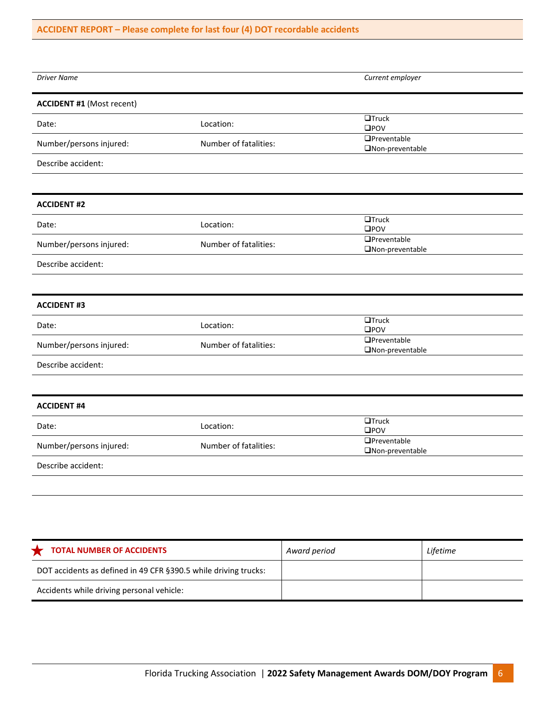# **ACCIDENT REPORT – Please complete for last four (4) DOT recordable accidents**

| <b>Driver Name</b>               |                       | Current employer                         |
|----------------------------------|-----------------------|------------------------------------------|
|                                  |                       |                                          |
| <b>ACCIDENT #1 (Most recent)</b> |                       |                                          |
| Date:                            | Location:             | $\Box$ Truck<br>$\square$ POV            |
| Number/persons injured:          | Number of fatalities: | <b>OPreventable</b><br>□Non-preventable  |
| Describe accident:               |                       |                                          |
|                                  |                       |                                          |
| <b>ACCIDENT #2</b>               |                       |                                          |
| Date:                            | Location:             | $\Box$ Truck<br>$\square$ POV            |
| Number/persons injured:          | Number of fatalities: | <b>OPreventable</b><br>□Non-preventable  |
| Describe accident:               |                       |                                          |
|                                  |                       |                                          |
| <b>ACCIDENT #3</b>               |                       |                                          |
| Date:                            | Location:             | $\Box$ Truck<br>$\square$ POV            |
| Number/persons injured:          | Number of fatalities: | <b>O</b> Preventable<br>□Non-preventable |
| Describe accident:               |                       |                                          |
|                                  |                       |                                          |
| <b>ACCIDENT #4</b>               |                       |                                          |
| Date:                            | Location:             | $\Box$ Truck<br>$\square$ POV            |
| Number/persons injured:          | Number of fatalities: | <b>OPreventable</b><br>ONon-preventable  |
| Describe accident:               |                       |                                          |
|                                  |                       |                                          |
|                                  |                       |                                          |

| <b>TOTAL NUMBER OF ACCIDENTS</b>                                | Award period | Lifetime |
|-----------------------------------------------------------------|--------------|----------|
| DOT accidents as defined in 49 CFR §390.5 while driving trucks: |              |          |
| Accidents while driving personal vehicle:                       |              |          |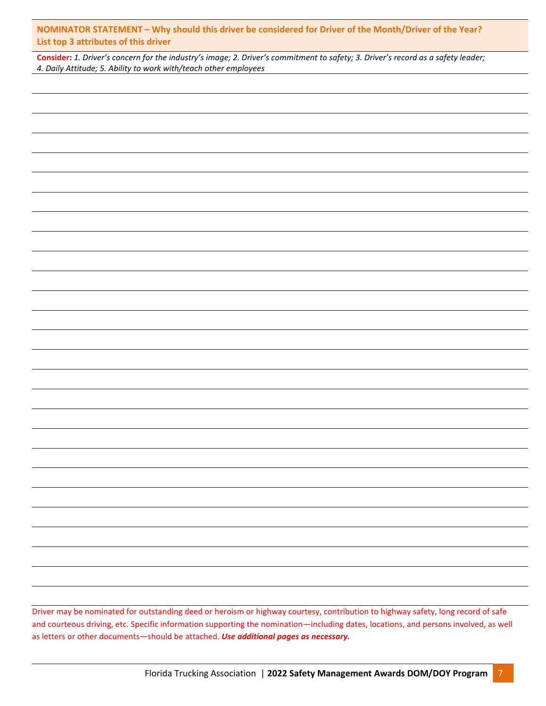**NOMINATOR STATEMENT – Why should this driver be considered for Driver of the Month/Driver of the Year? List top 3 attributes of this driver**

**Consider:** *1. Driver's concern for the industry's image; 2. Driver's commitment to safety; 3. Driver's record as a safety leader; 4. Daily Attitude; 5. Ability to work with/teach other employees*

Driver may be nominated for outstanding deed or heroism or highway courtesy, contribution to highway safety, long record of safe and courteous driving, etc. Specific information supporting the nomination—including dates, locations, and persons involved, as well as letters or other documents—should be attached. *Use additional pages as necessary.*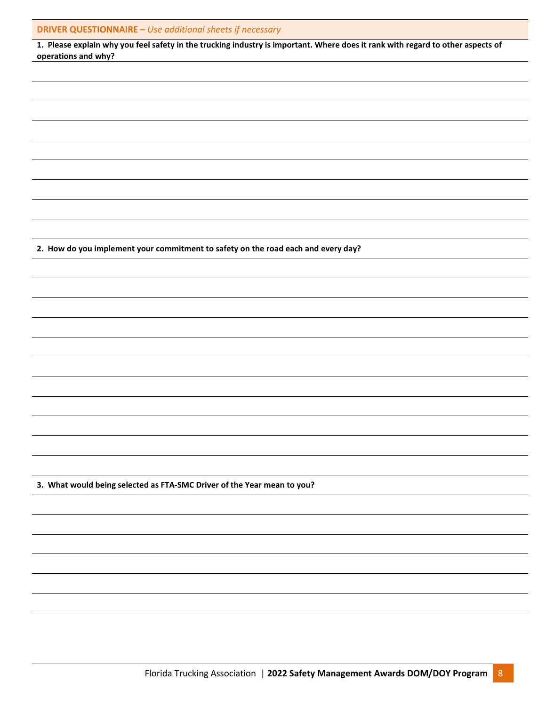|  | <b>DRIVER QUESTIONNAIRE - Use additional sheets if necessary</b> |  |  |  |
|--|------------------------------------------------------------------|--|--|--|
|--|------------------------------------------------------------------|--|--|--|

| 1. Please explain why you feel safety in the trucking industry is important. Where does it rank with regard to other aspects of |
|---------------------------------------------------------------------------------------------------------------------------------|
| operations and why?                                                                                                             |

**2. How do you implement your commitment to safety on the road each and every day?**

**3. What would being selected as FTA-SMC Driver of the Year mean to you?**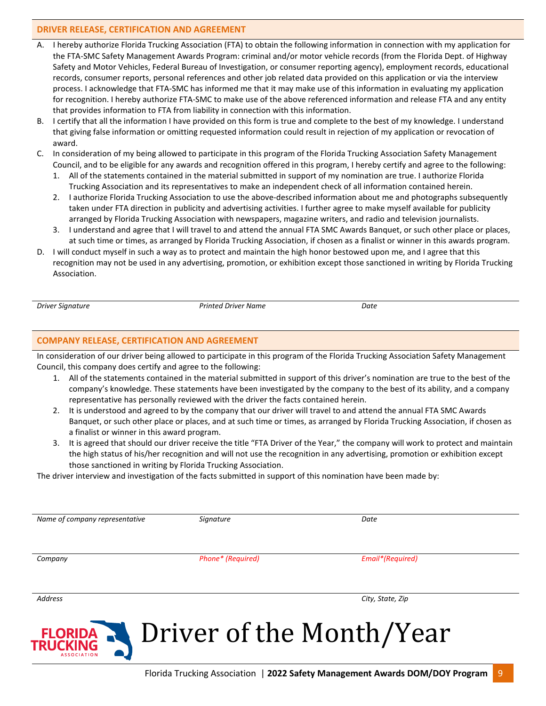## **DRIVER RELEASE, CERTIFICATION AND AGREEMENT**

- A. I hereby authorize Florida Trucking Association (FTA) to obtain the following information in connection with my application for the FTA-SMC Safety Management Awards Program: criminal and/or motor vehicle records (from the Florida Dept. of Highway Safety and Motor Vehicles, Federal Bureau of Investigation, or consumer reporting agency), employment records, educational records, consumer reports, personal references and other job related data provided on this application or via the interview process. I acknowledge that FTA-SMC has informed me that it may make use of this information in evaluating my application for recognition. I hereby authorize FTA-SMC to make use of the above referenced information and release FTA and any entity that provides information to FTA from liability in connection with this information.
- B. I certify that all the information I have provided on this form is true and complete to the best of my knowledge. I understand that giving false information or omitting requested information could result in rejection of my application or revocation of award.
- C. In consideration of my being allowed to participate in this program of the Florida Trucking Association Safety Management Council, and to be eligible for any awards and recognition offered in this program, I hereby certify and agree to the following:
	- 1. All of the statements contained in the material submitted in support of my nomination are true. I authorize Florida Trucking Association and its representatives to make an independent check of all information contained herein.
	- 2. I authorize Florida Trucking Association to use the above-described information about me and photographs subsequently taken under FTA direction in publicity and advertising activities. I further agree to make myself available for publicity arranged by Florida Trucking Association with newspapers, magazine writers, and radio and television journalists.
	- 3. I understand and agree that I will travel to and attend the annual FTA SMC Awards Banquet, or such other place or places, at such time or times, as arranged by Florida Trucking Association, if chosen as a finalist or winner in this awards program.
- D. I will conduct myself in such a way as to protect and maintain the high honor bestowed upon me, and I agree that this recognition may not be used in any advertising, promotion, or exhibition except those sanctioned in writing by Florida Trucking Association.

**ASSOCIATION** 

*Driver Signature Printed Driver Name Date*

## **COMPANY RELEASE, CERTIFICATION AND AGREEMENT**

In consideration of our driver being allowed to participate in this program of the Florida Trucking Association Safety Management Council, this company does certify and agree to the following:

- 1. All of the statements contained in the material submitted in support of this driver's nomination are true to the best of the company's knowledge. These statements have been investigated by the company to the best of its ability, and a company representative has personally reviewed with the driver the facts contained herein.
- 2. It is understood and agreed to by the company that our driver will travel to and attend the annual FTA SMC Awards Banquet, or such other place or places, and at such time or times, as arranged by Florida Trucking Association, if chosen as a finalist or winner in this award program.
- 3. It is agreed that should our driver receive the title "FTA Driver of the Year," the company will work to protect and maintain the high status of his/her recognition and will not use the recognition in any advertising, promotion or exhibition except those sanctioned in writing by Florida Trucking Association.

The driver interview and investigation of the facts submitted in support of this nomination have been made by:

| Name of company representative | Signature         | Date                               |
|--------------------------------|-------------------|------------------------------------|
| Company                        | Phone* (Required) | Email*(Required)                   |
| <b>Address</b>                 |                   | City, State, Zip                   |
|                                |                   | FLORIDA - Driver of the Month/Year |